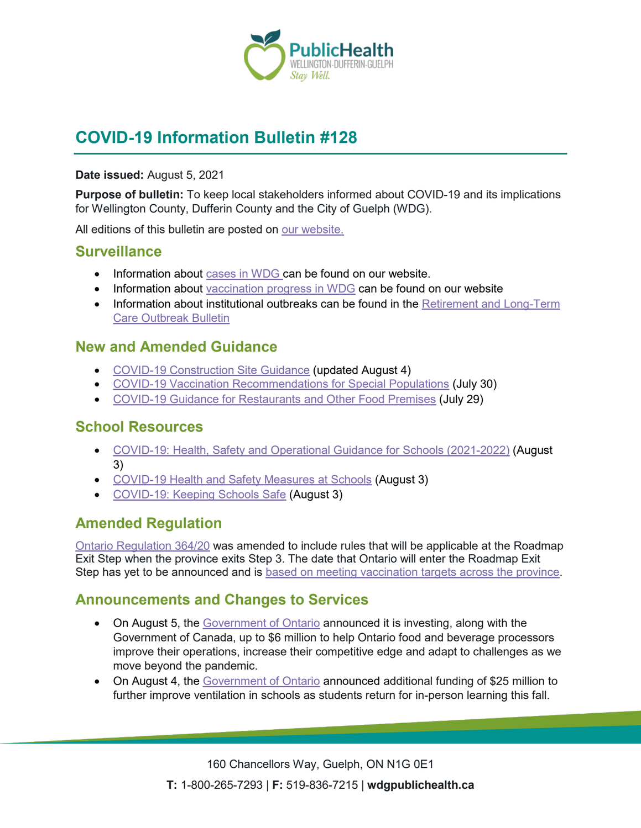

# **COVID-19 Information Bulletin #128**

#### **Date issued:** August 5, 2021

**Purpose of bulletin:** To keep local stakeholders informed about COVID-19 and its implications for Wellington County, Dufferin County and the City of Guelph (WDG).

All editions of this bulletin are posted on [our website.](https://www.wdgpublichealth.ca/your-health/covid-19-information-workplaces-and-living-spaces/community-stakeholder-bulletins)

### **Surveillance**

- Information about [cases in WDG](https://wdgpublichealth.ca/your-health/covid-19-information-public/status-cases-wdg) can be found on our website.
- Information about [vaccination progress](https://www.wdgpublichealth.ca/your-health/covid-19-information-public/covid-19-vaccine-information-public) in WDG can be found on our website
- Information about institutional outbreaks can be found in the Retirement and Long-Term [Care Outbreak Bulletin](https://wdgpublichealth.ca/node/1542)

### **New and Amended Guidance**

- [COVID-19 Construction Site Guidance](https://www.ontario.ca/page/construction-site-health-and-safety-during-covid-19) (updated August 4)
- [COVID-19 Vaccination Recommendations for Special Populations](https://www.health.gov.on.ca/en/pro/programs/publichealth/coronavirus/docs/vaccine/COVID-19_vaccination_rec_special_populations.pdf) (July 30)
- [COVID-19 Guidance for Restaurants](https://www.wdgpublichealth.ca/sites/default/files/covid-19_guidance_restaurants_and_other_food_premises_-_reopening_step_3_0.pdf) and Other Food Premises (July 29)

### **School Resources**

- [COVID-19: Health, Safety and Operational Guidance for Schools](https://www.ontario.ca/document/covid-19-health-safety-and-operational-guidance-schools-2021-2022) (2021-2022) (August 3)
- [COVID-19 Health and Safety Measures at Schools](https://www.ontario.ca/page/covid-19-health-and-safety-measures-schools) (August 3)
- [COVID-19: Keeping Schools Safe](https://www.ontario.ca/page/covid-19-keeping-schools-safe) (August 3)

# **Amended Regulation**

[Ontario Regulation 364/20](https://www.ontario.ca/laws/regulation/200364) was amended to include rules that will be applicable at the Roadmap Exit Step when the province exits Step 3. The date that Ontario will enter the Roadmap Exit Step has yet to be announced and is [based on meeting vaccination targets across the province.](https://www.ontario.ca/page/reopening-ontario#exit)

# **Announcements and Changes to Services**

- On August 5, the [Government of Ontario](https://news.ontario.ca/en/release/1000668/helping-ontario-food-and-beverage-processors-during-covid-19) announced it is investing, along with the Government of Canada, up to \$6 million to help Ontario food and beverage processors improve their operations, increase their competitive edge and adapt to challenges as we move beyond the pandemic.
- On August 4, the [Government of Ontario](https://news.ontario.ca/en/release/1000652/ontario-further-improving-school-ventilation) announced additional funding of \$25 million to further improve ventilation in schools as students return for in-person learning this fall.